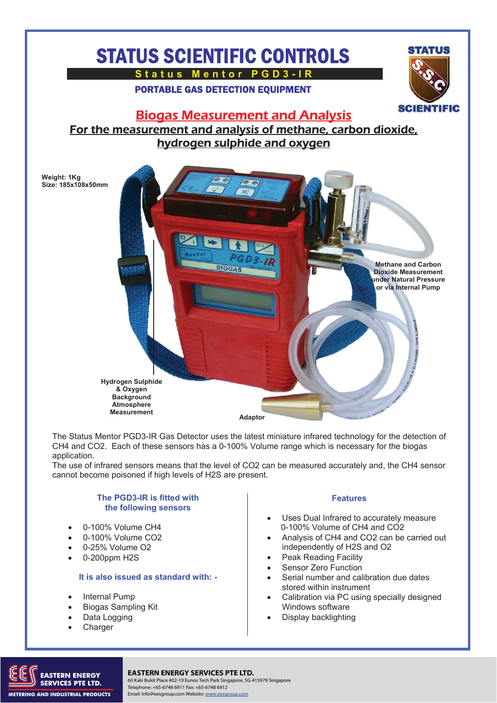# STATUS SCIENTIFIC CONTROLS

**Status Mentor PGD3-IR** 

PORTABLE GAS DETECTION EQUIPMENT



### Biogas Measurement and Analysis

For the measurement and analysis of methane, carbon dioxide, hydrogen sulphide and oxygen



The Status Mentor PGD3-IR Gas Detector uses the latest miniature infrared technology for the detection of CH4 and CO2. Each of these sensors has a 0-100% Volume range which is necessary for the biogas application.

The use of infrared sensors means that the level of CO2 can be measured accurately and, the CH4 sensor cannot become poisoned if high levels of H2S are present.

#### **The PGD3-IR is fitted with the following sensors**

- 0-100% Volume CH4
- 0-100% Volume CO2
- 0-25% Volume O2
- 0-200ppm H2S

#### **It is also issued as standard with: -**

- Internal Pump
- Biogas Sampling Kit
- Data Logging
- **Charger**

#### **Features**

- Uses Dual Infrared to accurately measure 0-100% Volume of CH4 and CO2
- Analysis of CH4 and CO2 can be carried out independently of H2S and O2
- Peak Reading Facility
- Sensor Zero Function
- Serial number and calibration due dates stored within instrument
- Calibration via PC using specially designed Windows software
- Display backlighting



### TERN ENERGY **EASTERN ENERGY SERVICES PTE LTD.**

60 Kaki Bukit Place #02-19 Eunos Tech Park Singapore, SG 415979 Singapore Telephone: +65-6748 6911 Fax: +65-6748 6912 Email: info@eesgroup.com Website: www.eesgroup.com